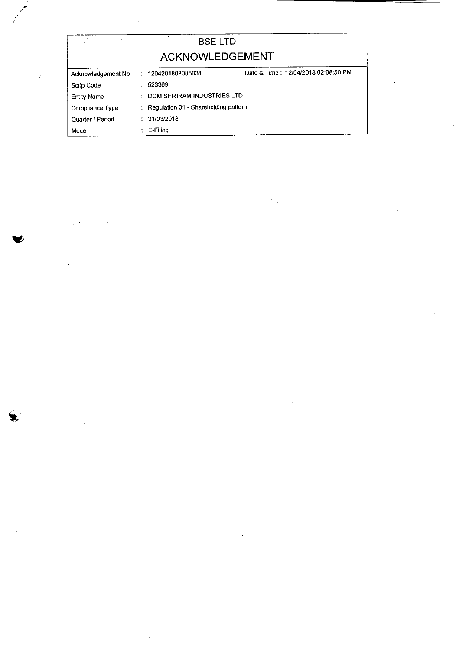| $\mathcal{M}$<br>$\ddot{\phantom{0}}$ |  | <b>BSELTD</b>                          |                                     |  |  |  |  |  |  |  |
|---------------------------------------|--|----------------------------------------|-------------------------------------|--|--|--|--|--|--|--|
| <b>ACKNOWLEDGEMENT</b>                |  |                                        |                                     |  |  |  |  |  |  |  |
| Acknowledgement No                    |  | : 1204201802085031                     | Date & Time: 12/04/2018 02:08:50 PM |  |  |  |  |  |  |  |
| Scrip Code                            |  | 523369                                 |                                     |  |  |  |  |  |  |  |
| <b>Entity Name</b>                    |  | DCM SHRIRAM INDUSTRIES LTD.            |                                     |  |  |  |  |  |  |  |
| Compliance Type                       |  | : Regulation 31 - Shareholding pattern |                                     |  |  |  |  |  |  |  |
| Quarter / Period                      |  | : 31/03/2018                           |                                     |  |  |  |  |  |  |  |
| Mode                                  |  | E-Filing                               |                                     |  |  |  |  |  |  |  |

 $\label{eq:2.1} \frac{1}{\sqrt{2}}\left(\frac{1}{\sqrt{2}}\right)^{2} \left(\frac{1}{\sqrt{2}}\right)^{2} \left(\frac{1}{\sqrt{2}}\right)^{2} \left(\frac{1}{\sqrt{2}}\right)^{2} \left(\frac{1}{\sqrt{2}}\right)^{2} \left(\frac{1}{\sqrt{2}}\right)^{2} \left(\frac{1}{\sqrt{2}}\right)^{2} \left(\frac{1}{\sqrt{2}}\right)^{2} \left(\frac{1}{\sqrt{2}}\right)^{2} \left(\frac{1}{\sqrt{2}}\right)^{2} \left(\frac{1}{\sqrt{2}}\right)^{2} \left(\$ 

 $\label{eq:2.1} \frac{1}{\sqrt{2}}\int_{\mathbb{R}^3}\frac{1}{\sqrt{2}}\left(\frac{1}{\sqrt{2}}\right)^2\frac{1}{\sqrt{2}}\left(\frac{1}{\sqrt{2}}\right)^2\frac{1}{\sqrt{2}}\left(\frac{1}{\sqrt{2}}\right)^2.$ 

 $\sim$   $\sim$ 

 $\label{eq:2.1} \frac{1}{2} \sum_{i=1}^n \frac{1}{2} \sum_{j=1}^n \frac{1}{2} \sum_{j=1}^n \frac{1}{2} \sum_{j=1}^n \frac{1}{2} \sum_{j=1}^n \frac{1}{2} \sum_{j=1}^n \frac{1}{2} \sum_{j=1}^n \frac{1}{2} \sum_{j=1}^n \frac{1}{2} \sum_{j=1}^n \frac{1}{2} \sum_{j=1}^n \frac{1}{2} \sum_{j=1}^n \frac{1}{2} \sum_{j=1}^n \frac{1}{2} \sum_{j=1}^n \frac{$ 

 $\label{eq:2.1} \begin{split} \mathcal{L}_{\text{max}}(\mathcal{L}_{\text{max}}) = \mathcal{L}_{\text{max}}(\mathcal{L}_{\text{max}}) \,,\\ \mathcal{L}_{\text{max}}(\mathcal{L}_{\text{max}}) = \mathcal{L}_{\text{max}}(\mathcal{L}_{\text{max}}) \,,\\ \mathcal{L}_{\text{max}}(\mathcal{L}_{\text{max}}) = \mathcal{L}_{\text{max}}(\mathcal{L}_{\text{max}}) \,,\\ \mathcal{L}_{\text{max}}(\mathcal{L}_{\text{max}}) = \mathcal{L}_{\text{max}}(\mathcal{L}_{\text{max}}) \,,\\ \mathcal{L}_{$ 

 $\hat{q}_{\mu}^{(0)}$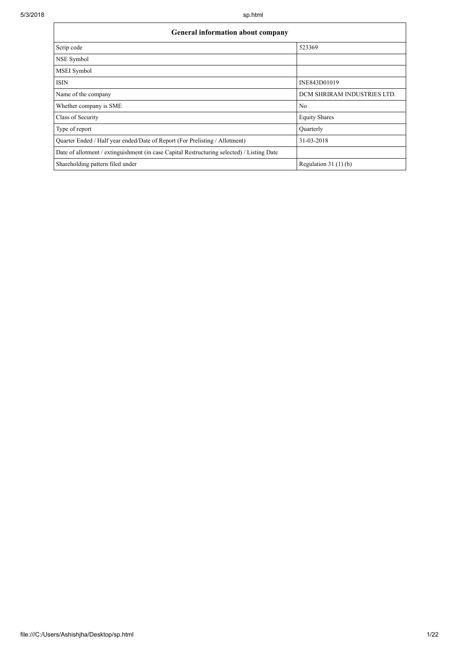| <b>General information about company</b>                                                   |                             |  |  |  |  |  |  |  |  |
|--------------------------------------------------------------------------------------------|-----------------------------|--|--|--|--|--|--|--|--|
| Scrip code                                                                                 | 523369                      |  |  |  |  |  |  |  |  |
| NSE Symbol                                                                                 |                             |  |  |  |  |  |  |  |  |
| MSEI Symbol                                                                                |                             |  |  |  |  |  |  |  |  |
| <b>ISIN</b>                                                                                | INE843D01019                |  |  |  |  |  |  |  |  |
| Name of the company                                                                        | DCM SHRIRAM INDUSTRIES LTD. |  |  |  |  |  |  |  |  |
| Whether company is SME                                                                     | No                          |  |  |  |  |  |  |  |  |
| Class of Security                                                                          | <b>Equity Shares</b>        |  |  |  |  |  |  |  |  |
| Type of report                                                                             | Quarterly                   |  |  |  |  |  |  |  |  |
| Quarter Ended / Half year ended/Date of Report (For Prelisting / Allotment)                | 31-03-2018                  |  |  |  |  |  |  |  |  |
| Date of allotment / extinguishment (in case Capital Restructuring selected) / Listing Date |                             |  |  |  |  |  |  |  |  |
| Shareholding pattern filed under                                                           | Regulation $31(1)(b)$       |  |  |  |  |  |  |  |  |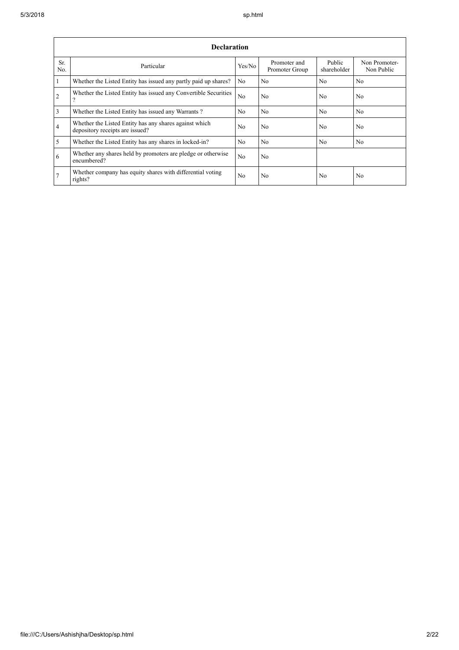r

|                 | <b>Declaration</b>                                                                        |                |                                |                       |                             |  |  |  |  |  |  |  |  |
|-----------------|-------------------------------------------------------------------------------------------|----------------|--------------------------------|-----------------------|-----------------------------|--|--|--|--|--|--|--|--|
| Sr.<br>No.      | Particular                                                                                | Yes/No         | Promoter and<br>Promoter Group | Public<br>shareholder | Non Promoter-<br>Non Public |  |  |  |  |  |  |  |  |
|                 | Whether the Listed Entity has issued any partly paid up shares?                           | No             | No.                            | No                    | N <sub>0</sub>              |  |  |  |  |  |  |  |  |
| 2               | Whether the Listed Entity has issued any Convertible Securities<br>9                      | N <sub>o</sub> | No                             | N <sub>0</sub>        | N <sub>0</sub>              |  |  |  |  |  |  |  |  |
| 3               | Whether the Listed Entity has issued any Warrants?                                        | N <sub>0</sub> | N <sub>0</sub>                 | <b>No</b>             | N <sub>0</sub>              |  |  |  |  |  |  |  |  |
| $\overline{4}$  | Whether the Listed Entity has any shares against which<br>depository receipts are issued? | N <sub>0</sub> | No                             | N <sub>0</sub>        | N <sub>0</sub>              |  |  |  |  |  |  |  |  |
| 5               | Whether the Listed Entity has any shares in locked-in?                                    | N <sub>0</sub> | N <sub>0</sub>                 | N <sub>0</sub>        | N <sub>0</sub>              |  |  |  |  |  |  |  |  |
| 6               | Whether any shares held by promoters are pledge or otherwise<br>encumbered?               | N <sub>o</sub> | No                             |                       |                             |  |  |  |  |  |  |  |  |
| $7\phantom{.0}$ | Whether company has equity shares with differential voting<br>rights?                     | N <sub>o</sub> | No                             | No                    | N <sub>o</sub>              |  |  |  |  |  |  |  |  |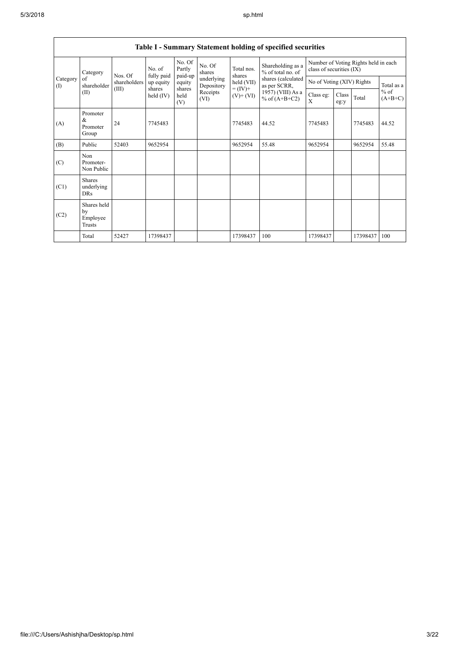|                                                          |                                           |           |                       |                             |                  |                                    | Table I - Summary Statement holding of specified securities |                                                                  |               |            |                     |
|----------------------------------------------------------|-------------------------------------------|-----------|-----------------------|-----------------------------|------------------|------------------------------------|-------------------------------------------------------------|------------------------------------------------------------------|---------------|------------|---------------------|
| Category<br>Category<br>of<br>shareholder<br>(1)<br>(II) |                                           | Nos. Of   | No. of<br>fully paid  | No. Of<br>Partly<br>paid-up | No. Of<br>shares | Total nos.<br>shares               | Shareholding as a<br>$%$ of total no. of                    | Number of Voting Rights held in each<br>class of securities (IX) |               |            |                     |
|                                                          | shareholders                              | up equity | equity                | underlying<br>Depository    | held (VII)       | shares (calculated<br>as per SCRR, | No of Voting (XIV) Rights                                   |                                                                  |               | Total as a |                     |
|                                                          |                                           | (III)     | shares<br>held $(IV)$ | shares<br>held<br>(V)       | Receipts<br>(VI) | $= (IV) +$<br>$(V)$ + $(VI)$       | 1957) (VIII) As a<br>% of $(A+B+C2)$                        | Class eg:<br>X                                                   | Class<br>eg:y | Total      | $%$ of<br>$(A+B+C)$ |
| (A)                                                      | Promoter<br>&<br>Promoter<br>Group        | 24        | 7745483               |                             |                  | 7745483                            | 44.52                                                       | 7745483                                                          |               | 7745483    | 44.52               |
| (B)                                                      | Public                                    | 52403     | 9652954               |                             |                  | 9652954                            | 55.48                                                       | 9652954                                                          |               | 9652954    | 55.48               |
| (C)                                                      | Non<br>Promoter-<br>Non Public            |           |                       |                             |                  |                                    |                                                             |                                                                  |               |            |                     |
| (C1)                                                     | <b>Shares</b><br>underlying<br><b>DRs</b> |           |                       |                             |                  |                                    |                                                             |                                                                  |               |            |                     |
| (C2)                                                     | Shares held<br>by<br>Employee<br>Trusts   |           |                       |                             |                  |                                    |                                                             |                                                                  |               |            |                     |
|                                                          | Total                                     | 52427     | 17398437              |                             |                  | 17398437                           | 100                                                         | 17398437                                                         |               | 17398437   | 100                 |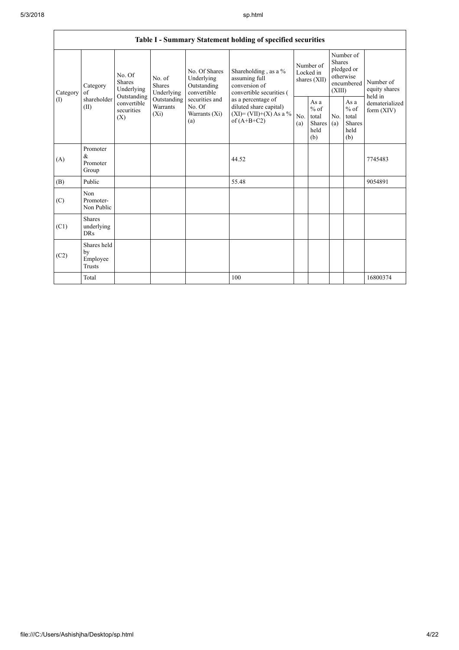|                 |                                               |                                                      |                                                                             |                                                                                                               | Table I - Summary Statement holding of specified securities                                |                                        |                                                         |                                                                               |                                                          |                                       |
|-----------------|-----------------------------------------------|------------------------------------------------------|-----------------------------------------------------------------------------|---------------------------------------------------------------------------------------------------------------|--------------------------------------------------------------------------------------------|----------------------------------------|---------------------------------------------------------|-------------------------------------------------------------------------------|----------------------------------------------------------|---------------------------------------|
| Category<br>(1) | Category<br>$\alpha$ f<br>shareholder<br>(II) | No. Of<br><b>Shares</b><br>Underlying<br>Outstanding | No. of<br><b>Shares</b><br>Underlying<br>Outstanding<br>Warrants<br>$(X_i)$ | No. Of Shares<br>Underlying<br>Outstanding<br>convertible<br>securities and<br>No. Of<br>Warrants (Xi)<br>(a) | Shareholding , as a $\%$<br>assuming full<br>conversion of<br>convertible securities (     | Number of<br>Locked in<br>shares (XII) |                                                         | Number of<br><b>Shares</b><br>pledged or<br>otherwise<br>encumbered<br>(XIII) |                                                          | Number of<br>equity shares<br>held in |
|                 |                                               | convertible<br>securities<br>(X)                     |                                                                             |                                                                                                               | as a percentage of<br>diluted share capital)<br>$(XI) = (VII)+(X) As a %$<br>of $(A+B+C2)$ | No.<br>(a)                             | As a<br>$%$ of<br>total<br><b>Shares</b><br>held<br>(b) | No.<br>(a)                                                                    | As a<br>$\%$ of<br>total<br><b>Shares</b><br>held<br>(b) | dematerialized<br>form $(XIV)$        |
| (A)             | Promoter<br>&<br>Promoter<br>Group            |                                                      |                                                                             |                                                                                                               | 44.52                                                                                      |                                        |                                                         |                                                                               |                                                          | 7745483                               |
| (B)             | Public                                        |                                                      |                                                                             |                                                                                                               | 55.48                                                                                      |                                        |                                                         |                                                                               |                                                          | 9054891                               |
| (C)             | Non<br>Promoter-<br>Non Public                |                                                      |                                                                             |                                                                                                               |                                                                                            |                                        |                                                         |                                                                               |                                                          |                                       |
| (C1)            | <b>Shares</b><br>underlying<br><b>DRs</b>     |                                                      |                                                                             |                                                                                                               |                                                                                            |                                        |                                                         |                                                                               |                                                          |                                       |
| (C2)            | Shares held<br>by<br>Employee<br>Trusts       |                                                      |                                                                             |                                                                                                               |                                                                                            |                                        |                                                         |                                                                               |                                                          |                                       |
|                 | Total                                         |                                                      |                                                                             |                                                                                                               | 100                                                                                        |                                        |                                                         |                                                                               |                                                          | 16800374                              |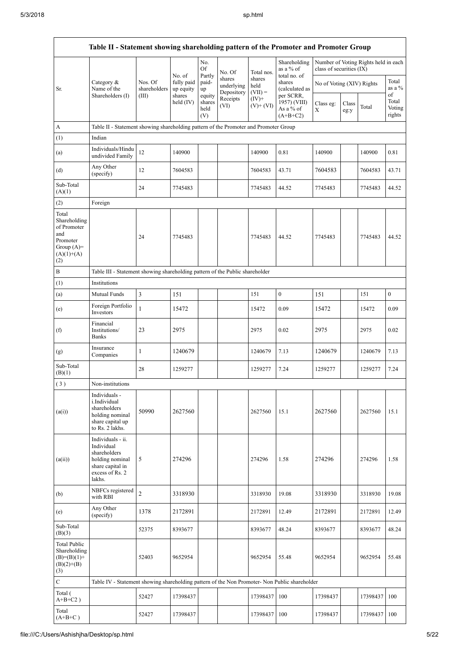$\overline{1}$ 

| Table II - Statement showing shareholding pattern of the Promoter and Promoter Group           |                                                                                                                     |                                  |                                   |                       |                                    |                             |                                           |                           |               |                                      |                           |
|------------------------------------------------------------------------------------------------|---------------------------------------------------------------------------------------------------------------------|----------------------------------|-----------------------------------|-----------------------|------------------------------------|-----------------------------|-------------------------------------------|---------------------------|---------------|--------------------------------------|---------------------------|
|                                                                                                |                                                                                                                     |                                  | No. of                            | No.<br>Of<br>Partly   | No. Of                             | Total nos.                  | Shareholding<br>as a % of<br>total no. of | class of securities (IX)  |               | Number of Voting Rights held in each |                           |
| Sr.                                                                                            | Category &<br>Name of the<br>Shareholders (I)                                                                       | Nos. Of<br>shareholders<br>(III) | fully paid<br>up equity<br>shares | paid-<br>up<br>equity | shares<br>underlying<br>Depository | shares<br>held<br>$(VII) =$ | shares<br>(calculated as<br>per SCRR,     | No of Voting (XIV) Rights |               |                                      | Total<br>as a %<br>of     |
|                                                                                                |                                                                                                                     |                                  | held (IV)                         | shares<br>held<br>(V) | Receipts<br>(VI)                   | $(IV)$ +<br>$(V)+(VI)$      | 1957) (VIII)<br>As a % of<br>$(A+B+C2)$   | Class eg:<br>X            | Class<br>eg:y | Total                                | Total<br>Voting<br>rights |
| A                                                                                              | Table II - Statement showing shareholding pattern of the Promoter and Promoter Group                                |                                  |                                   |                       |                                    |                             |                                           |                           |               |                                      |                           |
| (1)                                                                                            | Indian                                                                                                              |                                  |                                   |                       |                                    |                             |                                           |                           |               |                                      |                           |
| (a)                                                                                            | Individuals/Hindu<br>undivided Family                                                                               | 12                               | 140900                            |                       |                                    | 140900                      | 0.81                                      | 140900                    |               | 140900                               | 0.81                      |
| (d)                                                                                            | Any Other<br>(specify)                                                                                              | 12                               | 7604583                           |                       |                                    | 7604583                     | 43.71                                     | 7604583                   |               | 7604583                              | 43.71                     |
| Sub-Total<br>(A)(1)                                                                            |                                                                                                                     | 24                               | 7745483                           |                       |                                    | 7745483                     | 44.52                                     | 7745483                   |               | 7745483                              | 44.52                     |
| (2)                                                                                            | Foreign                                                                                                             |                                  |                                   |                       |                                    |                             |                                           |                           |               |                                      |                           |
| Total<br>Shareholding<br>of Promoter<br>and<br>Promoter<br>Group $(A)=$<br>$(A)(1)+(A)$<br>(2) |                                                                                                                     | 24                               | 7745483                           |                       |                                    | 7745483                     | 44.52                                     | 7745483                   |               | 7745483                              | 44.52                     |
| $\, {\bf B}$                                                                                   | Table III - Statement showing shareholding pattern of the Public shareholder                                        |                                  |                                   |                       |                                    |                             |                                           |                           |               |                                      |                           |
| (1)                                                                                            | Institutions                                                                                                        |                                  |                                   |                       |                                    |                             |                                           |                           |               |                                      |                           |
| (a)                                                                                            | Mutual Funds                                                                                                        | $\mathfrak{Z}$                   | 151                               |                       |                                    | 151                         | $\boldsymbol{0}$                          | 151                       |               | 151                                  | $\boldsymbol{0}$          |
| (e)                                                                                            | Foreign Portfolio<br>Investors                                                                                      | $\mathbf{1}$                     | 15472                             |                       |                                    | 15472                       | 0.09                                      | 15472                     |               | 15472                                | 0.09                      |
| (f)                                                                                            | Financial<br>Institutions/<br>Banks                                                                                 | 23                               | 2975                              |                       |                                    | 2975                        | 0.02                                      | 2975                      |               | 2975                                 | 0.02                      |
| (g)                                                                                            | Insurance<br>Companies                                                                                              | 1                                | 1240679                           |                       |                                    | 1240679                     | 7.13                                      | 1240679                   |               | 1240679                              | 7.13                      |
| Sub-Total<br>(B)(1)                                                                            |                                                                                                                     | 28                               | 1259277                           |                       |                                    | 1259277                     | 7.24                                      | 1259277                   |               | 1259277                              | 7.24                      |
| (3)                                                                                            | Non-institutions                                                                                                    |                                  |                                   |                       |                                    |                             |                                           |                           |               |                                      |                           |
| (a(i))                                                                                         | Individuals -<br>i.Individual<br>shareholders<br>holding nominal<br>share capital up<br>to Rs. 2 lakhs.             | 50990                            | 2627560                           |                       |                                    | 2627560                     | 15.1                                      | 2627560                   |               | 2627560                              | 15.1                      |
| (a(ii))                                                                                        | Individuals - ii.<br>Individual<br>shareholders<br>holding nominal<br>share capital in<br>excess of Rs. 2<br>lakhs. | 5                                | 274296                            |                       |                                    | 274296                      | 1.58                                      | 274296                    |               | 274296                               | 1.58                      |
| (b)                                                                                            | NBFCs registered<br>with RBI                                                                                        | $\overline{c}$                   | 3318930                           |                       |                                    | 3318930                     | 19.08                                     | 3318930                   |               | 3318930                              | 19.08                     |
| (e)                                                                                            | Any Other<br>(specify)                                                                                              | 1378                             | 2172891                           |                       |                                    | 2172891                     | 12.49                                     | 2172891                   |               | 2172891                              | 12.49                     |
| Sub-Total<br>(B)(3)                                                                            |                                                                                                                     | 52375                            | 8393677                           |                       |                                    | 8393677                     | 48.24                                     | 8393677                   |               | 8393677                              | 48.24                     |
| <b>Total Public</b><br>Shareholding<br>$(B)=(B)(1)+$<br>$(B)(2)+(B)$<br>(3)                    |                                                                                                                     | 52403                            | 9652954                           |                       |                                    | 9652954                     | 55.48                                     | 9652954                   |               | 9652954                              | 55.48                     |
| ${\bf C}$                                                                                      | Table IV - Statement showing shareholding pattern of the Non Promoter- Non Public shareholder                       |                                  |                                   |                       |                                    |                             |                                           |                           |               |                                      |                           |
| Total (<br>$A+B+C2$ )                                                                          |                                                                                                                     | 52427                            | 17398437                          |                       |                                    | 17398437                    | 100                                       | 17398437                  |               | 17398437                             | 100                       |
| Total<br>$(A+B+C)$                                                                             |                                                                                                                     | 52427                            | 17398437                          |                       |                                    | 17398437                    | 100                                       | 17398437                  |               | 17398437                             | 100                       |

 $\overline{\mathbf{1}}$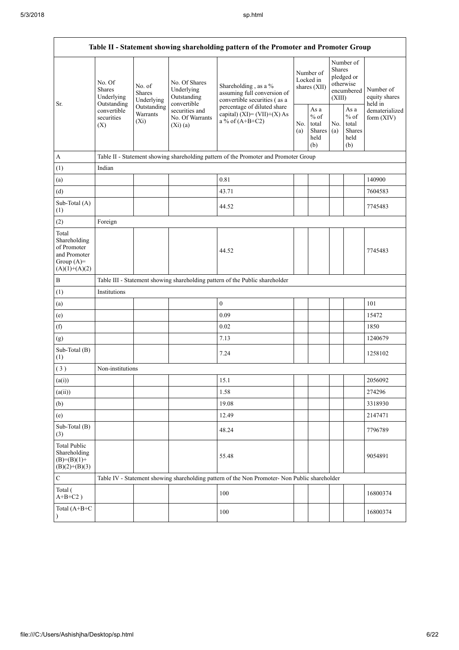$\mathbf{r}$ 

| Table II - Statement showing shareholding pattern of the Promoter and Promoter Group    |                                                                                               |                                       |                                                           |                                                                                      |  |                                                         |                         |                                                          |                                       |  |
|-----------------------------------------------------------------------------------------|-----------------------------------------------------------------------------------------------|---------------------------------------|-----------------------------------------------------------|--------------------------------------------------------------------------------------|--|---------------------------------------------------------|-------------------------|----------------------------------------------------------|---------------------------------------|--|
| Sr.                                                                                     | No. Of<br><b>Shares</b><br>Underlying<br>Outstanding                                          | No. of<br><b>Shares</b><br>Underlying | No. Of Shares<br>Underlying<br>Outstanding<br>convertible | Shareholding, as a %<br>assuming full conversion of<br>convertible securities (as a  |  | Number of<br>Locked in<br>shares (XII)                  | <b>Shares</b><br>(XIII) | Number of<br>pledged or<br>otherwise<br>encumbered       | Number of<br>equity shares<br>held in |  |
|                                                                                         | convertible<br>securities<br>(X)                                                              | Outstanding<br>Warrants<br>$(X_i)$    | securities and<br>No. Of Warrants<br>(Xi)(a)              | percentage of diluted share<br>capital) $(XI) = (VII)+(X) As$<br>a % of $(A+B+C2)$   |  | As a<br>$%$ of<br>No.<br>total<br>Shares<br>held<br>(b) | No.<br>(a)              | As a<br>$\%$ of<br>total<br><b>Shares</b><br>held<br>(b) | dematerialized<br>form $(XIV)$        |  |
| $\mathbf{A}$                                                                            |                                                                                               |                                       |                                                           | Table II - Statement showing shareholding pattern of the Promoter and Promoter Group |  |                                                         |                         |                                                          |                                       |  |
| (1)                                                                                     | Indian                                                                                        |                                       |                                                           |                                                                                      |  |                                                         |                         |                                                          |                                       |  |
| (a)                                                                                     |                                                                                               |                                       |                                                           | 0.81                                                                                 |  |                                                         |                         |                                                          | 140900                                |  |
| (d)                                                                                     |                                                                                               |                                       |                                                           | 43.71                                                                                |  |                                                         |                         |                                                          | 7604583                               |  |
| Sub-Total (A)<br>(1)                                                                    |                                                                                               |                                       |                                                           | 44.52                                                                                |  |                                                         |                         |                                                          | 7745483                               |  |
| (2)                                                                                     | Foreign                                                                                       |                                       |                                                           |                                                                                      |  |                                                         |                         |                                                          |                                       |  |
| Total<br>Shareholding<br>of Promoter<br>and Promoter<br>Group $(A)=$<br>$(A)(1)+(A)(2)$ |                                                                                               |                                       |                                                           | 44.52                                                                                |  |                                                         |                         |                                                          | 7745483                               |  |
| $\, {\bf B}$                                                                            |                                                                                               |                                       |                                                           | Table III - Statement showing shareholding pattern of the Public shareholder         |  |                                                         |                         |                                                          |                                       |  |
| (1)                                                                                     | Institutions                                                                                  |                                       |                                                           |                                                                                      |  |                                                         |                         |                                                          |                                       |  |
| (a)                                                                                     |                                                                                               |                                       |                                                           | $\boldsymbol{0}$                                                                     |  |                                                         |                         |                                                          | 101                                   |  |
| (e)                                                                                     |                                                                                               |                                       |                                                           | 0.09                                                                                 |  |                                                         |                         |                                                          | 15472                                 |  |
| (f)                                                                                     |                                                                                               |                                       |                                                           | 0.02                                                                                 |  |                                                         |                         |                                                          | 1850                                  |  |
| (g)                                                                                     |                                                                                               |                                       |                                                           | 7.13                                                                                 |  |                                                         |                         |                                                          | 1240679                               |  |
| Sub-Total (B)<br>(1)                                                                    |                                                                                               |                                       |                                                           | 7.24                                                                                 |  |                                                         |                         |                                                          | 1258102                               |  |
| (3)                                                                                     | Non-institutions                                                                              |                                       |                                                           |                                                                                      |  |                                                         |                         |                                                          |                                       |  |
| (a(i))                                                                                  |                                                                                               |                                       |                                                           | 15.1                                                                                 |  |                                                         |                         |                                                          | 2056092                               |  |
| (a(ii))                                                                                 |                                                                                               |                                       |                                                           | 1.58                                                                                 |  |                                                         |                         |                                                          | 274296                                |  |
| (b)                                                                                     |                                                                                               |                                       |                                                           | 19.08                                                                                |  |                                                         |                         |                                                          | 3318930                               |  |
| (e)                                                                                     |                                                                                               |                                       |                                                           | 12.49                                                                                |  |                                                         |                         |                                                          | 2147471                               |  |
| Sub-Total (B)<br>(3)                                                                    |                                                                                               |                                       |                                                           | 48.24                                                                                |  |                                                         |                         |                                                          | 7796789                               |  |
| <b>Total Public</b><br>Shareholding<br>$(B)= (B)(1) +$<br>$(B)(2)+(B)(3)$               |                                                                                               |                                       |                                                           | 55.48                                                                                |  |                                                         |                         |                                                          | 9054891                               |  |
| $\mathbf C$                                                                             | Table IV - Statement showing shareholding pattern of the Non Promoter- Non Public shareholder |                                       |                                                           |                                                                                      |  |                                                         |                         |                                                          |                                       |  |
| Total (<br>$A+B+C2$ )                                                                   |                                                                                               |                                       |                                                           | 100                                                                                  |  |                                                         |                         |                                                          | 16800374                              |  |
| Total (A+B+C<br>$\lambda$                                                               |                                                                                               |                                       |                                                           | 100                                                                                  |  |                                                         |                         |                                                          | 16800374                              |  |

 $\overline{\phantom{a}}$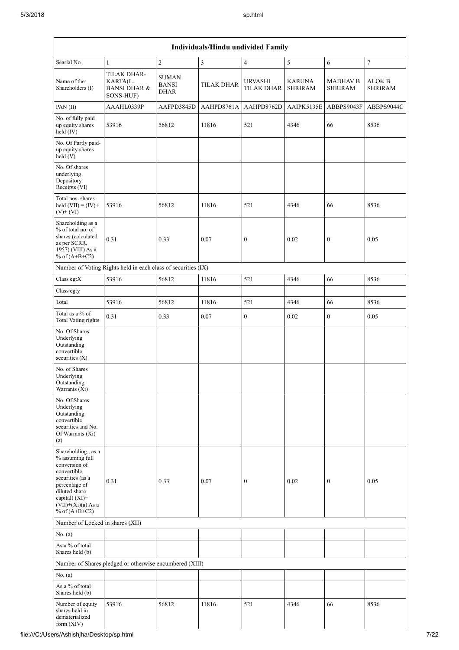| Searial No.                                                                                                                                                                              | $\mathbf{1}$                                                    | $\overline{c}$                              | $\mathfrak{Z}$    | $\overline{4}$                      | $\sqrt{5}$                      | $\sqrt{6}$                        | $\boldsymbol{7}$          |
|------------------------------------------------------------------------------------------------------------------------------------------------------------------------------------------|-----------------------------------------------------------------|---------------------------------------------|-------------------|-------------------------------------|---------------------------------|-----------------------------------|---------------------------|
| Name of the<br>Shareholders (I)                                                                                                                                                          | TILAK DHAR-<br>KARTA(L.<br><b>BANSI DHAR &amp;</b><br>SONS-HUF) | <b>SUMAN</b><br><b>BANSI</b><br><b>DHAR</b> | <b>TILAK DHAR</b> | <b>URVASHI</b><br><b>TILAK DHAR</b> | <b>KARUNA</b><br><b>SHRIRAM</b> | <b>MADHAV B</b><br><b>SHRIRAM</b> | ALOK B.<br><b>SHRIRAM</b> |
| PAN(II)                                                                                                                                                                                  | AAAHL0339P                                                      | AAFPD3845D                                  | AAHPD8761A        | AAHPD8762D                          | AAIPK5135E                      | ABBPS9043F                        | ABBPS9044C                |
| No. of fully paid<br>up equity shares<br>$\text{held} (IV)$                                                                                                                              | 53916                                                           | 56812                                       | 11816             | 521                                 | 4346                            | 66                                | 8536                      |
| No. Of Partly paid-<br>up equity shares<br>held(V)                                                                                                                                       |                                                                 |                                             |                   |                                     |                                 |                                   |                           |
| No. Of shares<br>underlying<br>Depository<br>Receipts (VI)                                                                                                                               |                                                                 |                                             |                   |                                     |                                 |                                   |                           |
| Total nos. shares<br>held $(VII) = (IV) +$<br>$(V)$ + $(VI)$                                                                                                                             | 53916                                                           | 56812                                       | 11816             | 521                                 | 4346                            | 66                                | 8536                      |
| Shareholding as a<br>% of total no. of<br>shares (calculated<br>as per SCRR,<br>1957) (VIII) As a<br>% of $(A+B+C2)$                                                                     | 0.31                                                            | 0.33                                        | 0.07              | $\boldsymbol{0}$                    | 0.02                            | $\boldsymbol{0}$                  | 0.05                      |
|                                                                                                                                                                                          | Number of Voting Rights held in each class of securities (IX)   |                                             |                   |                                     |                                 |                                   |                           |
| Class eg:X                                                                                                                                                                               | 53916                                                           | 56812                                       | 11816             | 521                                 | 4346                            | 66                                | 8536                      |
| Class eg:y                                                                                                                                                                               |                                                                 |                                             |                   |                                     |                                 |                                   |                           |
| Total                                                                                                                                                                                    | 53916                                                           | 56812                                       | 11816             | 521                                 | 4346                            | 66                                | 8536                      |
| Total as a % of<br>Total Voting rights                                                                                                                                                   | 0.31                                                            | 0.33                                        | 0.07              | $\mathbf{0}$                        | 0.02                            | $\mathbf{0}$                      | 0.05                      |
| No. Of Shares<br>Underlying<br>Outstanding<br>convertible<br>securities (X)                                                                                                              |                                                                 |                                             |                   |                                     |                                 |                                   |                           |
| No. of Shares<br>Underlying<br>Outstanding<br>Warrants (Xi)                                                                                                                              |                                                                 |                                             |                   |                                     |                                 |                                   |                           |
| No. Of Shares<br>Underlying<br>Outstanding<br>convertible<br>securities and No.<br>Of Warrants (Xi)<br>(a)                                                                               |                                                                 |                                             |                   |                                     |                                 |                                   |                           |
| Shareholding, as a<br>% assuming full<br>conversion of<br>convertible<br>securities (as a<br>percentage of<br>diluted share<br>capital) (XI)=<br>$(VII)+(Xi)(a)$ As a<br>% of $(A+B+C2)$ | 0.31                                                            | 0.33                                        | 0.07              | $\boldsymbol{0}$                    | 0.02                            | $\boldsymbol{0}$                  | 0.05                      |
| Number of Locked in shares (XII)                                                                                                                                                         |                                                                 |                                             |                   |                                     |                                 |                                   |                           |
| No. (a)                                                                                                                                                                                  |                                                                 |                                             |                   |                                     |                                 |                                   |                           |
| As a % of total<br>Shares held (b)                                                                                                                                                       |                                                                 |                                             |                   |                                     |                                 |                                   |                           |
|                                                                                                                                                                                          | Number of Shares pledged or otherwise encumbered (XIII)         |                                             |                   |                                     |                                 |                                   |                           |
| No. (a)                                                                                                                                                                                  |                                                                 |                                             |                   |                                     |                                 |                                   |                           |
| As a % of total<br>Shares held (b)                                                                                                                                                       |                                                                 |                                             |                   |                                     |                                 |                                   |                           |
| Number of equity<br>shares held in<br>dematerialized                                                                                                                                     | 53916                                                           | 56812                                       | 11816             | 521                                 | 4346                            | 66                                | 8536                      |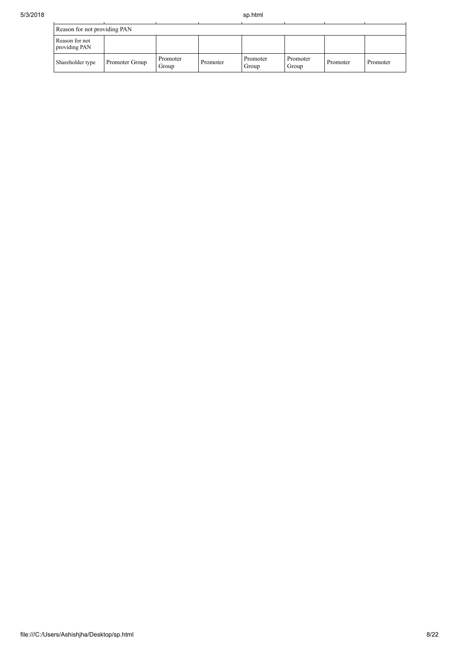| Reason for not providing PAN    |                |                   |          |                   |                   |          |          |  |  |  |
|---------------------------------|----------------|-------------------|----------|-------------------|-------------------|----------|----------|--|--|--|
| Reason for not<br>providing PAN |                |                   |          |                   |                   |          |          |  |  |  |
| Shareholder type                | Promoter Group | Promoter<br>Group | Promoter | Promoter<br>Group | Promoter<br>Group | Promoter | Promoter |  |  |  |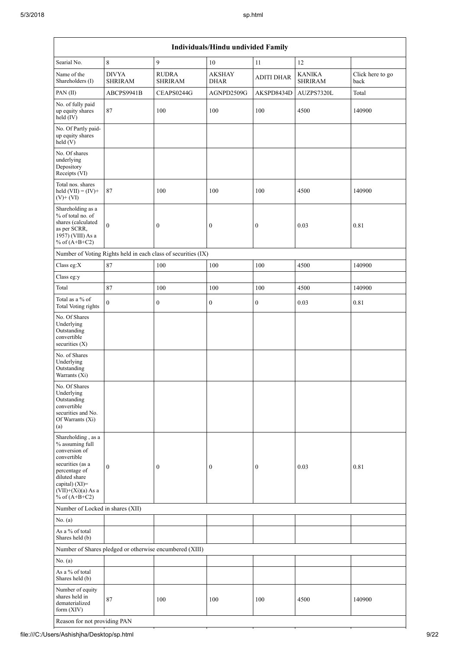| Individuals/Hindu undivided Family                                                                                                                                                       |                                |                                                               |                              |                   |                                 |                          |  |  |  |
|------------------------------------------------------------------------------------------------------------------------------------------------------------------------------------------|--------------------------------|---------------------------------------------------------------|------------------------------|-------------------|---------------------------------|--------------------------|--|--|--|
| Searial No.                                                                                                                                                                              | 8                              | 9                                                             | 10                           | 11                | 12                              |                          |  |  |  |
| Name of the<br>Shareholders (I)                                                                                                                                                          | <b>DIVYA</b><br><b>SHRIRAM</b> | <b>RUDRA</b><br><b>SHRIRAM</b>                                | <b>AKSHAY</b><br><b>DHAR</b> | <b>ADITI DHAR</b> | <b>KANIKA</b><br><b>SHRIRAM</b> | Click here to go<br>back |  |  |  |
| PAN(II)                                                                                                                                                                                  | ABCPS9941B                     | CEAPS0244G                                                    | AGNPD2509G                   | AKSPD8434D        | AUZPS7320L                      | Total                    |  |  |  |
| No. of fully paid<br>up equity shares<br>held (IV)                                                                                                                                       | 87                             | 100                                                           | 100                          | 100               | 4500                            | 140900                   |  |  |  |
| No. Of Partly paid-<br>up equity shares<br>held(V)                                                                                                                                       |                                |                                                               |                              |                   |                                 |                          |  |  |  |
| No. Of shares<br>underlying<br>Depository<br>Receipts (VI)                                                                                                                               |                                |                                                               |                              |                   |                                 |                          |  |  |  |
| Total nos. shares<br>held $(VII) = (IV) +$<br>$(V)$ + $(VI)$                                                                                                                             | 87                             | 100                                                           | 100                          | 100               | 4500                            | 140900                   |  |  |  |
| Shareholding as a<br>% of total no. of<br>shares (calculated<br>as per SCRR,<br>1957) (VIII) As a<br>% of $(A+B+C2)$                                                                     | $\mathbf{0}$                   | $\boldsymbol{0}$                                              | $\boldsymbol{0}$             | $\boldsymbol{0}$  | 0.03                            | 0.81                     |  |  |  |
|                                                                                                                                                                                          |                                | Number of Voting Rights held in each class of securities (IX) |                              |                   |                                 |                          |  |  |  |
| Class eg: $X$                                                                                                                                                                            | 87                             | 100                                                           | 100                          | 100               | 4500                            | 140900                   |  |  |  |
| Class eg:y                                                                                                                                                                               |                                |                                                               |                              |                   |                                 |                          |  |  |  |
| Total                                                                                                                                                                                    | 87                             | 100                                                           | 100                          | 100               | 4500                            | 140900                   |  |  |  |
| Total as a % of<br>Total Voting rights                                                                                                                                                   | $\mathbf{0}$                   | $\boldsymbol{0}$                                              | $\boldsymbol{0}$             | $\boldsymbol{0}$  | 0.03                            | $0.81\,$                 |  |  |  |
| No. Of Shares<br>Underlying<br>Outstanding<br>convertible<br>securities (X)                                                                                                              |                                |                                                               |                              |                   |                                 |                          |  |  |  |
| No. of Shares<br>Underlying<br>Outstanding<br>Warrants (Xi)                                                                                                                              |                                |                                                               |                              |                   |                                 |                          |  |  |  |
| No. Of Shares<br>Underlying<br>Outstanding<br>convertible<br>securities and No.<br>Of Warrants (Xi)<br>(a)                                                                               |                                |                                                               |                              |                   |                                 |                          |  |  |  |
| Shareholding, as a<br>% assuming full<br>conversion of<br>convertible<br>securities (as a<br>percentage of<br>diluted share<br>capital) (XI)=<br>$(VII)+(Xi)(a)$ As a<br>% of $(A+B+C2)$ | $\boldsymbol{0}$               | $\boldsymbol{0}$                                              | $\boldsymbol{0}$             | $\boldsymbol{0}$  | 0.03                            | 0.81                     |  |  |  |
| Number of Locked in shares (XII)                                                                                                                                                         |                                |                                                               |                              |                   |                                 |                          |  |  |  |
| No. (a)                                                                                                                                                                                  |                                |                                                               |                              |                   |                                 |                          |  |  |  |
| As a % of total<br>Shares held (b)                                                                                                                                                       |                                |                                                               |                              |                   |                                 |                          |  |  |  |
|                                                                                                                                                                                          |                                | Number of Shares pledged or otherwise encumbered (XIII)       |                              |                   |                                 |                          |  |  |  |
| No. (a)                                                                                                                                                                                  |                                |                                                               |                              |                   |                                 |                          |  |  |  |
| As a % of total<br>Shares held (b)                                                                                                                                                       |                                |                                                               |                              |                   |                                 |                          |  |  |  |
| Number of equity<br>shares held in<br>dematerialized<br>form (XIV)                                                                                                                       | 87                             | 100                                                           | 100                          | 100               | 4500                            | 140900                   |  |  |  |
| Reason for not providing PAN                                                                                                                                                             |                                |                                                               |                              |                   |                                 |                          |  |  |  |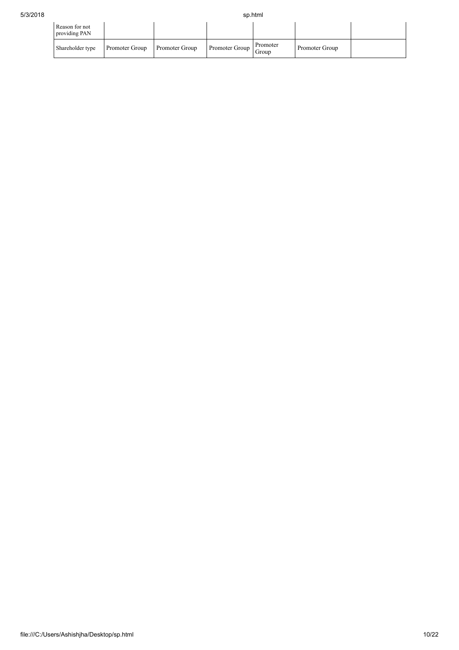| Reason for not<br>providing PAN |                |                |                |                   |                |  |
|---------------------------------|----------------|----------------|----------------|-------------------|----------------|--|
| Shareholder type                | Promoter Group | Promoter Group | Promoter Group | Promoter<br>Group | Promoter Group |  |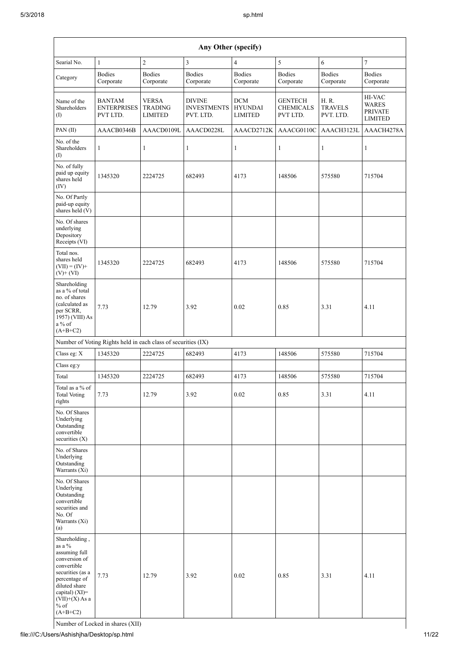|                                                                                                                                                                                                    | Any Other (specify)                                           |                                                  |                                                  |                                                |                                                |                                      |                                                            |  |  |  |  |
|----------------------------------------------------------------------------------------------------------------------------------------------------------------------------------------------------|---------------------------------------------------------------|--------------------------------------------------|--------------------------------------------------|------------------------------------------------|------------------------------------------------|--------------------------------------|------------------------------------------------------------|--|--|--|--|
| Searial No.                                                                                                                                                                                        | $\mathbf{1}$                                                  | $\overline{2}$                                   | 3                                                | 4                                              | $\sqrt{5}$                                     | 6                                    | 7                                                          |  |  |  |  |
| Category                                                                                                                                                                                           | <b>Bodies</b><br>Corporate                                    | <b>Bodies</b><br>Corporate                       | <b>Bodies</b><br>Corporate                       | <b>Bodies</b><br>Corporate                     | <b>Bodies</b><br>Corporate                     | <b>Bodies</b><br>Corporate           | <b>Bodies</b><br>Corporate                                 |  |  |  |  |
| Name of the<br>Shareholders<br>(1)                                                                                                                                                                 | <b>BANTAM</b><br><b>ENTERPRISES</b><br>PVT LTD.               | <b>VERSA</b><br><b>TRADING</b><br><b>LIMITED</b> | <b>DIVINE</b><br><b>INVESTMENTS</b><br>PVT. LTD. | <b>DCM</b><br><b>HYUNDAI</b><br><b>LIMITED</b> | <b>GENTECH</b><br><b>CHEMICALS</b><br>PVT LTD. | H. R.<br><b>TRAVELS</b><br>PVT. LTD. | HI-VAC<br><b>WARES</b><br><b>PRIVATE</b><br><b>LIMITED</b> |  |  |  |  |
| PAN(II)                                                                                                                                                                                            | AAACB0346B                                                    | AAACD0109L                                       | AAACD0228L                                       | AAACD2712K                                     | AAACG0110C                                     | AAACH3123L                           | AAACH4278A                                                 |  |  |  |  |
| No. of the<br>Shareholders<br>(1)                                                                                                                                                                  | 1                                                             | 1                                                | $\mathbf{1}$                                     | 1                                              | $\mathbf{1}$                                   | 1                                    | 1                                                          |  |  |  |  |
| No. of fully<br>paid up equity<br>shares held<br>(IV)                                                                                                                                              | 1345320                                                       | 2224725                                          | 682493                                           | 4173                                           | 148506                                         | 575580                               | 715704                                                     |  |  |  |  |
| No. Of Partly<br>paid-up equity<br>shares held (V)                                                                                                                                                 |                                                               |                                                  |                                                  |                                                |                                                |                                      |                                                            |  |  |  |  |
| No. Of shares<br>underlying<br>Depository<br>Receipts (VI)                                                                                                                                         |                                                               |                                                  |                                                  |                                                |                                                |                                      |                                                            |  |  |  |  |
| Total nos.<br>shares held<br>$(VII) = (IV) +$<br>$(V)$ + $(VI)$                                                                                                                                    | 1345320                                                       | 2224725                                          | 682493                                           | 4173                                           | 148506                                         | 575580                               | 715704                                                     |  |  |  |  |
| Shareholding<br>as a % of total<br>no. of shares<br>(calculated as<br>per SCRR,<br>1957) (VIII) As<br>a % of<br>$(A+B+C2)$                                                                         | 7.73                                                          | 12.79                                            | 3.92                                             | 0.02                                           | 0.85                                           | 3.31                                 | 4.11                                                       |  |  |  |  |
|                                                                                                                                                                                                    | Number of Voting Rights held in each class of securities (IX) |                                                  |                                                  |                                                |                                                |                                      |                                                            |  |  |  |  |
| Class eg: X                                                                                                                                                                                        | 1345320                                                       | 2224725                                          | 682493                                           | 4173                                           | 148506                                         | 575580                               | 715704                                                     |  |  |  |  |
| Class eg:y                                                                                                                                                                                         |                                                               |                                                  |                                                  |                                                |                                                |                                      |                                                            |  |  |  |  |
| Total                                                                                                                                                                                              | 1345320                                                       | 2224725                                          | 682493                                           | 4173                                           | 148506                                         | 575580                               | 715704                                                     |  |  |  |  |
| Total as a % of<br><b>Total Voting</b><br>rights                                                                                                                                                   | 7.73                                                          | 12.79                                            | 3.92                                             | 0.02                                           | 0.85                                           | 3.31                                 | 4.11                                                       |  |  |  |  |
| No. Of Shares<br>Underlying<br>Outstanding<br>convertible<br>securities (X)                                                                                                                        |                                                               |                                                  |                                                  |                                                |                                                |                                      |                                                            |  |  |  |  |
| No. of Shares<br>Underlying<br>Outstanding<br>Warrants (Xi)                                                                                                                                        |                                                               |                                                  |                                                  |                                                |                                                |                                      |                                                            |  |  |  |  |
| No. Of Shares<br>Underlying<br>Outstanding<br>convertible<br>securities and<br>No. Of<br>Warrants (Xi)<br>(a)                                                                                      |                                                               |                                                  |                                                  |                                                |                                                |                                      |                                                            |  |  |  |  |
| Shareholding,<br>as a $\%$<br>assuming full<br>conversion of<br>convertible<br>securities (as a<br>percentage of<br>diluted share<br>capital) $(XI)$ =<br>$(VII)+(X)$ As a<br>$%$ of<br>$(A+B+C2)$ | 7.73                                                          | 12.79                                            | 3.92                                             | 0.02                                           | 0.85                                           | 3.31                                 | 4.11                                                       |  |  |  |  |

Number of Locked in shares (XII)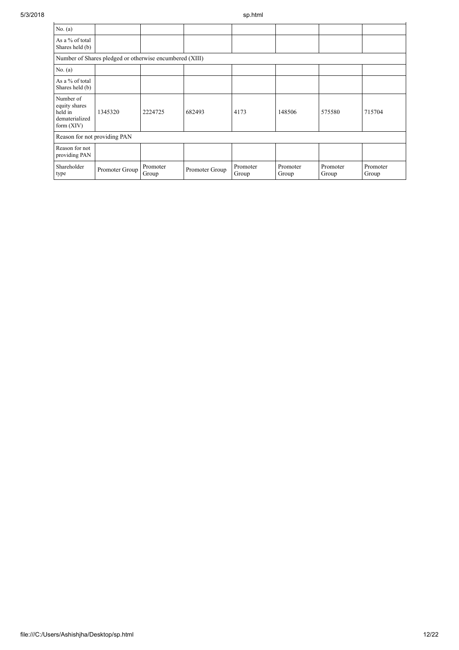| No. (a)                                                                 |                                                         |                   |                |                   |                   |                   |                   |
|-------------------------------------------------------------------------|---------------------------------------------------------|-------------------|----------------|-------------------|-------------------|-------------------|-------------------|
| As a % of total<br>Shares held (b)                                      |                                                         |                   |                |                   |                   |                   |                   |
|                                                                         | Number of Shares pledged or otherwise encumbered (XIII) |                   |                |                   |                   |                   |                   |
| No. (a)                                                                 |                                                         |                   |                |                   |                   |                   |                   |
| As a % of total<br>Shares held (b)                                      |                                                         |                   |                |                   |                   |                   |                   |
| Number of<br>equity shares<br>held in<br>dematerialized<br>form $(XIV)$ | 1345320                                                 | 2224725           | 682493         | 4173              | 148506            | 575580            | 715704            |
| Reason for not providing PAN                                            |                                                         |                   |                |                   |                   |                   |                   |
| Reason for not<br>providing PAN                                         |                                                         |                   |                |                   |                   |                   |                   |
| Shareholder<br>type                                                     | Promoter Group                                          | Promoter<br>Group | Promoter Group | Promoter<br>Group | Promoter<br>Group | Promoter<br>Group | Promoter<br>Group |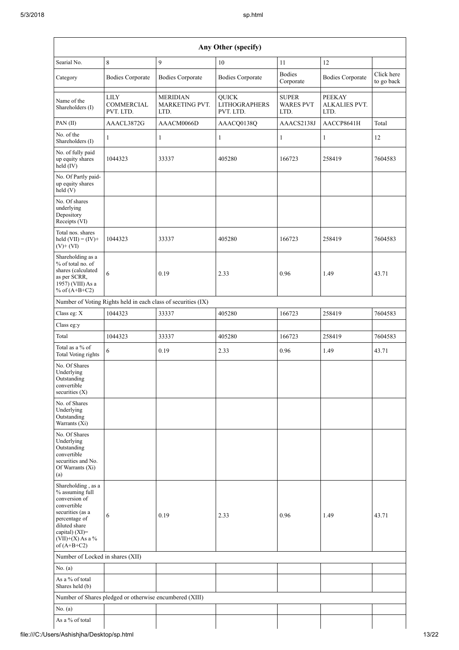| Searial No.                                                                                                                                                                             | $\,8\,$                                                 | 9                                                             | $10\,$                                            | $11\,$                                   | $12\,$                                 |                          |
|-----------------------------------------------------------------------------------------------------------------------------------------------------------------------------------------|---------------------------------------------------------|---------------------------------------------------------------|---------------------------------------------------|------------------------------------------|----------------------------------------|--------------------------|
| Category                                                                                                                                                                                | <b>Bodies Corporate</b>                                 | <b>Bodies Corporate</b>                                       | <b>Bodies Corporate</b>                           | <b>Bodies</b><br>Corporate               | <b>Bodies Corporate</b>                | Click here<br>to go back |
| Name of the<br>Shareholders (I)                                                                                                                                                         | $_{\rm LILY}$<br>COMMERCIAL<br>PVT. LTD.                | <b>MERIDIAN</b><br>MARKETING PVT.<br>LTD.                     | <b>QUICK</b><br><b>LITHOGRAPHERS</b><br>PVT. LTD. | <b>SUPER</b><br><b>WARES PVT</b><br>LTD. | <b>PEEKAY</b><br>ALKALIES PVT.<br>LTD. |                          |
| PAN $(II)$                                                                                                                                                                              | AAACL3872G                                              | AAACM0066D                                                    | AAACQ0138Q                                        | AAACS2138J                               | AACCP8641H                             | Total                    |
| No. of the<br>Shareholders (I)                                                                                                                                                          | $\mathbf{1}$                                            | 1                                                             | 1                                                 | 1                                        | $\mathbf{1}$                           | 12                       |
| No. of fully paid<br>up equity shares<br>held (IV)                                                                                                                                      | 1044323                                                 | 33337                                                         | 405280                                            | 166723                                   | 258419                                 | 7604583                  |
| No. Of Partly paid-<br>up equity shares<br>held $(V)$                                                                                                                                   |                                                         |                                                               |                                                   |                                          |                                        |                          |
| No. Of shares<br>underlying<br>Depository<br>Receipts (VI)                                                                                                                              |                                                         |                                                               |                                                   |                                          |                                        |                          |
| Total nos. shares<br>held $(VII) = (IV) +$<br>$(V)$ + $(VI)$                                                                                                                            | 1044323                                                 | 33337                                                         | 405280                                            | 166723                                   | 258419                                 | 7604583                  |
| Shareholding as a<br>% of total no. of<br>shares (calculated<br>as per SCRR,<br>1957) (VIII) As a<br>% of $(A+B+C2)$                                                                    | 6                                                       | 0.19                                                          | 2.33                                              | 0.96                                     | 1.49                                   | 43.71                    |
|                                                                                                                                                                                         |                                                         | Number of Voting Rights held in each class of securities (IX) |                                                   |                                          |                                        |                          |
| Class eg: X                                                                                                                                                                             | 1044323                                                 | 33337                                                         | 405280                                            | 166723                                   | 258419                                 | 7604583                  |
| Class eg:y                                                                                                                                                                              |                                                         |                                                               |                                                   |                                          |                                        |                          |
| Total                                                                                                                                                                                   | 1044323                                                 | 33337                                                         | 405280                                            | 166723                                   | 258419                                 | 7604583                  |
| Total as a $\%$ of<br>Total Voting rights                                                                                                                                               | $\sqrt{6}$                                              | 0.19                                                          | 2.33                                              | 0.96                                     | 1.49                                   | 43.71                    |
| No. Of Shares<br>Underlying<br>Outstanding<br>convertible<br>securities $(X)$                                                                                                           |                                                         |                                                               |                                                   |                                          |                                        |                          |
| No. of Shares<br>Underlying<br>Outstanding<br>Warrants (Xi)                                                                                                                             |                                                         |                                                               |                                                   |                                          |                                        |                          |
| No. Of Shares<br>Underlying<br>Outstanding<br>convertible<br>securities and No.<br>Of Warrants (Xi)<br>(a)                                                                              |                                                         |                                                               |                                                   |                                          |                                        |                          |
| Shareholding, as a<br>% assuming full<br>conversion of<br>convertible<br>securities (as a<br>percentage of<br>diluted share<br>capital) $(XI)$ =<br>$(VII)+(X)$ As a %<br>of $(A+B+C2)$ | 6                                                       | 0.19                                                          | 2.33                                              | 0.96                                     | 1.49                                   | 43.71                    |
| Number of Locked in shares (XII)                                                                                                                                                        |                                                         |                                                               |                                                   |                                          |                                        |                          |
| No. (a)                                                                                                                                                                                 |                                                         |                                                               |                                                   |                                          |                                        |                          |
| As a % of total<br>Shares held (b)                                                                                                                                                      |                                                         |                                                               |                                                   |                                          |                                        |                          |
|                                                                                                                                                                                         | Number of Shares pledged or otherwise encumbered (XIII) |                                                               |                                                   |                                          |                                        |                          |
| No. (a)                                                                                                                                                                                 |                                                         |                                                               |                                                   |                                          |                                        |                          |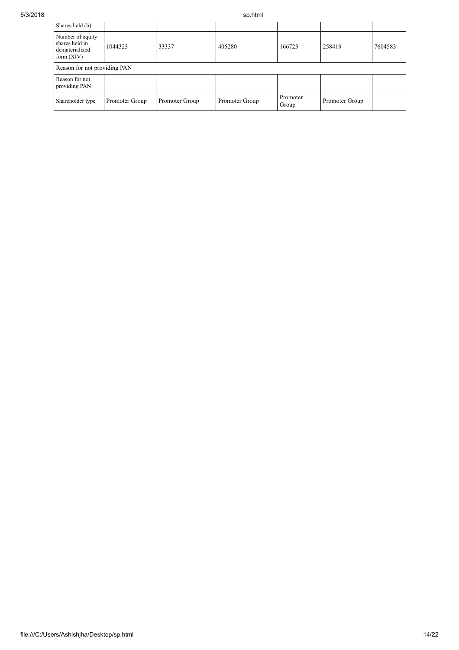| Shares held (b)                                                      |                |                |                |                   |                |         |
|----------------------------------------------------------------------|----------------|----------------|----------------|-------------------|----------------|---------|
| Number of equity<br>shares held in<br>dematerialized<br>form $(XIV)$ | 1044323        | 33337          | 405280         | 166723            | 258419         | 7604583 |
| Reason for not providing PAN                                         |                |                |                |                   |                |         |
| Reason for not<br>providing PAN                                      |                |                |                |                   |                |         |
| Shareholder type                                                     | Promoter Group | Promoter Group | Promoter Group | Promoter<br>Group | Promoter Group |         |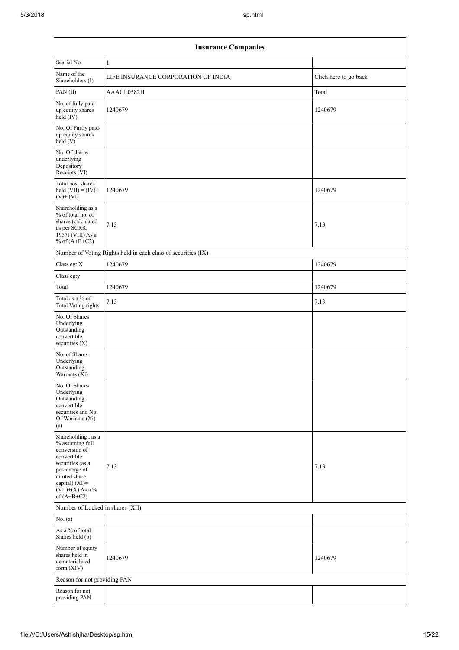| <b>Insurance Companies</b>                                                                                                                                                           |                                                               |                       |  |  |  |  |
|--------------------------------------------------------------------------------------------------------------------------------------------------------------------------------------|---------------------------------------------------------------|-----------------------|--|--|--|--|
| Searial No.                                                                                                                                                                          | $\mathbf{1}$                                                  |                       |  |  |  |  |
| Name of the<br>Shareholders (I)                                                                                                                                                      | LIFE INSURANCE CORPORATION OF INDIA                           | Click here to go back |  |  |  |  |
| PAN(II)                                                                                                                                                                              | AAACL0582H                                                    | Total                 |  |  |  |  |
| No. of fully paid<br>up equity shares<br>held (IV)                                                                                                                                   | 1240679                                                       | 1240679               |  |  |  |  |
| No. Of Partly paid-<br>up equity shares<br>held (V)                                                                                                                                  |                                                               |                       |  |  |  |  |
| No. Of shares<br>underlying<br>Depository<br>Receipts (VI)                                                                                                                           |                                                               |                       |  |  |  |  |
| Total nos. shares<br>held $(VII) = (IV) +$<br>$(V)$ + $(VI)$                                                                                                                         | 1240679                                                       | 1240679               |  |  |  |  |
| Shareholding as a<br>% of total no. of<br>shares (calculated<br>as per SCRR,<br>1957) (VIII) As a<br>% of $(A+B+C2)$                                                                 | 7.13                                                          | 7.13                  |  |  |  |  |
|                                                                                                                                                                                      | Number of Voting Rights held in each class of securities (IX) |                       |  |  |  |  |
| Class eg: X                                                                                                                                                                          | 1240679                                                       | 1240679               |  |  |  |  |
| Class eg:y                                                                                                                                                                           |                                                               |                       |  |  |  |  |
| Total                                                                                                                                                                                | 1240679                                                       | 1240679               |  |  |  |  |
| Total as a % of<br>Total Voting rights                                                                                                                                               | 7.13                                                          | 7.13                  |  |  |  |  |
| No. Of Shares<br>Underlying<br>Outstanding<br>convertible<br>securities (X)                                                                                                          |                                                               |                       |  |  |  |  |
| No. of Shares<br>Underlying<br>Outstanding<br>Warrants (Xi)                                                                                                                          |                                                               |                       |  |  |  |  |
| No. Of Shares<br>Underlying<br>Outstanding<br>convertible<br>securities and No.<br>Of Warrants (Xi)<br>(a)                                                                           |                                                               |                       |  |  |  |  |
| Shareholding, as a<br>% assuming full<br>conversion of<br>convertible<br>securities (as a<br>percentage of<br>diluted share<br>capital) (XI)=<br>$(VII)+(X)$ As a %<br>of $(A+B+C2)$ | 7.13                                                          | 7.13                  |  |  |  |  |
| Number of Locked in shares (XII)                                                                                                                                                     |                                                               |                       |  |  |  |  |
| No. (a)                                                                                                                                                                              |                                                               |                       |  |  |  |  |
| As a % of total<br>Shares held (b)                                                                                                                                                   |                                                               |                       |  |  |  |  |
| Number of equity<br>shares held in<br>dematerialized<br>form $(XIV)$                                                                                                                 | 1240679                                                       | 1240679               |  |  |  |  |
| Reason for not providing PAN                                                                                                                                                         |                                                               |                       |  |  |  |  |
| Reason for not<br>providing PAN                                                                                                                                                      |                                                               |                       |  |  |  |  |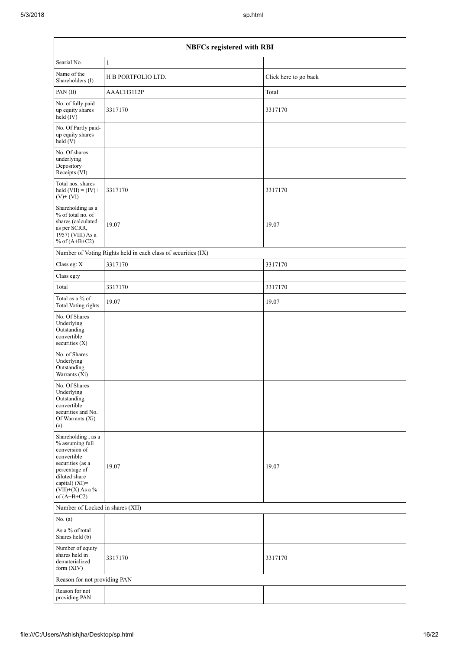| <b>NBFCs registered with RBI</b>                                                                                                                                                     |                                                               |                       |  |  |  |  |
|--------------------------------------------------------------------------------------------------------------------------------------------------------------------------------------|---------------------------------------------------------------|-----------------------|--|--|--|--|
| Searial No.                                                                                                                                                                          | $\mathbf{1}$                                                  |                       |  |  |  |  |
| Name of the<br>Shareholders (I)                                                                                                                                                      | H B PORTFOLIO LTD.                                            | Click here to go back |  |  |  |  |
| PAN(II)                                                                                                                                                                              | AAACH3112P                                                    | Total                 |  |  |  |  |
| No. of fully paid<br>up equity shares<br>held (IV)                                                                                                                                   | 3317170                                                       | 3317170               |  |  |  |  |
| No. Of Partly paid-<br>up equity shares<br>held (V)                                                                                                                                  |                                                               |                       |  |  |  |  |
| No. Of shares<br>underlying<br>Depository<br>Receipts (VI)                                                                                                                           |                                                               |                       |  |  |  |  |
| Total nos. shares<br>held $(VII) = (IV) +$<br>$(V) + (VI)$                                                                                                                           | 3317170                                                       | 3317170               |  |  |  |  |
| Shareholding as a<br>% of total no. of<br>shares (calculated<br>as per SCRR,<br>1957) (VIII) As a<br>% of $(A+B+C2)$                                                                 | 19.07                                                         | 19.07                 |  |  |  |  |
|                                                                                                                                                                                      | Number of Voting Rights held in each class of securities (IX) |                       |  |  |  |  |
| Class eg: $\mathbf X$                                                                                                                                                                | 3317170                                                       | 3317170               |  |  |  |  |
| Class eg:y                                                                                                                                                                           |                                                               |                       |  |  |  |  |
| Total                                                                                                                                                                                | 3317170                                                       | 3317170               |  |  |  |  |
| Total as a $\%$ of<br>Total Voting rights                                                                                                                                            | 19.07                                                         | 19.07                 |  |  |  |  |
| No. Of Shares<br>Underlying<br>Outstanding<br>convertible<br>securities $(X)$                                                                                                        |                                                               |                       |  |  |  |  |
| No. of Shares<br>Underlying<br>Outstanding<br>Warrants (Xi)                                                                                                                          |                                                               |                       |  |  |  |  |
| No. Of Shares<br>Underlying<br>Outstanding<br>convertible<br>securities and No.<br>Of Warrants (Xi)<br>(a)                                                                           |                                                               |                       |  |  |  |  |
| Shareholding, as a<br>% assuming full<br>conversion of<br>convertible<br>securities (as a<br>percentage of<br>diluted share<br>capital) (XI)=<br>$(VII)+(X)$ As a %<br>of $(A+B+C2)$ | 19.07                                                         | 19.07                 |  |  |  |  |
|                                                                                                                                                                                      | Number of Locked in shares (XII)                              |                       |  |  |  |  |
| No. (a)                                                                                                                                                                              |                                                               |                       |  |  |  |  |
| As a % of total<br>Shares held (b)                                                                                                                                                   |                                                               |                       |  |  |  |  |
| Number of equity<br>shares held in<br>dematerialized<br>form (XIV)                                                                                                                   | 3317170                                                       | 3317170               |  |  |  |  |
| Reason for not providing PAN                                                                                                                                                         |                                                               |                       |  |  |  |  |
| Reason for not<br>providing PAN                                                                                                                                                      |                                                               |                       |  |  |  |  |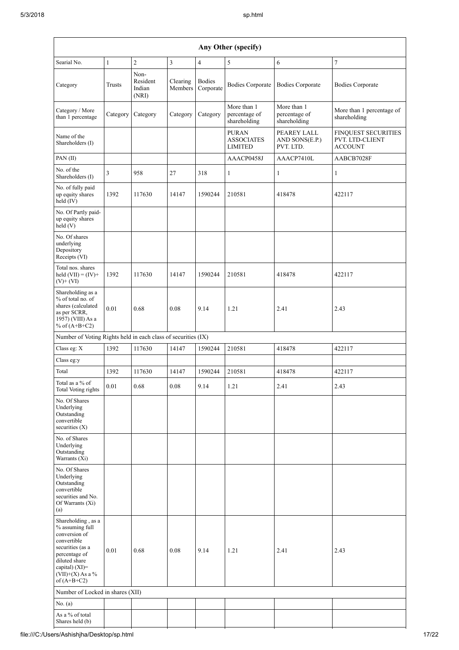| Any Other (specify)                                                                                                                                                                  |              |                                     |                     |                            |                                              |                                              |                                                                 |  |
|--------------------------------------------------------------------------------------------------------------------------------------------------------------------------------------|--------------|-------------------------------------|---------------------|----------------------------|----------------------------------------------|----------------------------------------------|-----------------------------------------------------------------|--|
| Searial No.                                                                                                                                                                          | $\mathbf{1}$ | $\overline{2}$                      | $\overline{3}$      | $\overline{4}$             | 5                                            | 6                                            | $\overline{7}$                                                  |  |
| Category                                                                                                                                                                             | Trusts       | Non-<br>Resident<br>Indian<br>(NRI) | Clearing<br>Members | <b>Bodies</b><br>Corporate | <b>Bodies Corporate</b>                      | <b>Bodies Corporate</b>                      | <b>Bodies Corporate</b>                                         |  |
| Category / More<br>than 1 percentage                                                                                                                                                 | Category     | Category                            | Category            | Category                   | More than 1<br>percentage of<br>shareholding | More than 1<br>percentage of<br>shareholding | More than 1 percentage of<br>shareholding                       |  |
| Name of the<br>Shareholders (I)                                                                                                                                                      |              |                                     |                     |                            | <b>PURAN</b><br><b>ASSOCIATES</b><br>LIMITED | PEAREY LALL<br>AND SONS(E.P.)<br>PVT. LTD.   | <b>FINQUEST SECURITIES</b><br>PVT. LTD-CLIENT<br><b>ACCOUNT</b> |  |
| PAN(II)                                                                                                                                                                              |              |                                     |                     |                            | AAACP0458J                                   | AAACP7410L                                   | AABCB7028F                                                      |  |
| No. of the<br>Shareholders (I)                                                                                                                                                       | 3            | 958                                 | 27                  | 318                        | $\mathbf{1}$                                 | 1                                            | $\mathbf{1}$                                                    |  |
| No. of fully paid<br>up equity shares<br>held (IV)                                                                                                                                   | 1392         | 117630                              | 14147               | 1590244                    | 210581                                       | 418478                                       | 422117                                                          |  |
| No. Of Partly paid-<br>up equity shares<br>held(V)                                                                                                                                   |              |                                     |                     |                            |                                              |                                              |                                                                 |  |
| No. Of shares<br>underlying<br>Depository<br>Receipts (VI)                                                                                                                           |              |                                     |                     |                            |                                              |                                              |                                                                 |  |
| Total nos. shares<br>held $(VII) = (IV) +$<br>$(V)$ + $(VI)$                                                                                                                         | 1392         | 117630                              | 14147               | 1590244                    | 210581                                       | 418478                                       | 422117                                                          |  |
| Shareholding as a<br>% of total no. of<br>shares (calculated<br>as per SCRR,<br>1957) (VIII) As a<br>% of $(A+B+C2)$                                                                 | 0.01         | 0.68                                | 0.08                | 9.14                       | 1.21                                         | 2.41                                         | 2.43                                                            |  |
| Number of Voting Rights held in each class of securities (IX)                                                                                                                        |              |                                     |                     |                            |                                              |                                              |                                                                 |  |
| Class eg: X                                                                                                                                                                          | 1392         | 117630                              | 14147               | 1590244                    | 210581                                       | 418478                                       | 422117                                                          |  |
| Class eg:y                                                                                                                                                                           |              |                                     |                     |                            |                                              |                                              |                                                                 |  |
| Total                                                                                                                                                                                | 1392         | 117630                              | 14147               | 1590244                    | 210581                                       | 418478                                       | 422117                                                          |  |
| Total as a % of<br><b>Total Voting rights</b>                                                                                                                                        | $0.01\,$     | 0.68                                | 0.08                | 9.14                       | 1.21                                         | 2.41                                         | 2.43                                                            |  |
| No. Of Shares<br>Underlying<br>Outstanding<br>convertible<br>securities $(X)$                                                                                                        |              |                                     |                     |                            |                                              |                                              |                                                                 |  |
| No. of Shares<br>Underlying<br>Outstanding<br>Warrants (Xi)                                                                                                                          |              |                                     |                     |                            |                                              |                                              |                                                                 |  |
| No. Of Shares<br>Underlying<br>Outstanding<br>convertible<br>securities and No.<br>Of Warrants (Xi)<br>(a)                                                                           |              |                                     |                     |                            |                                              |                                              |                                                                 |  |
| Shareholding, as a<br>% assuming full<br>conversion of<br>convertible<br>securities (as a<br>percentage of<br>diluted share<br>capital) (XI)=<br>$(VII)+(X)$ As a %<br>of $(A+B+C2)$ | 0.01         | 0.68                                | 0.08                | 9.14                       | 1.21                                         | 2.41                                         | 2.43                                                            |  |
| Number of Locked in shares (XII)                                                                                                                                                     |              |                                     |                     |                            |                                              |                                              |                                                                 |  |
| No. (a)                                                                                                                                                                              |              |                                     |                     |                            |                                              |                                              |                                                                 |  |
| As a % of total<br>Shares held (b)                                                                                                                                                   |              |                                     |                     |                            |                                              |                                              |                                                                 |  |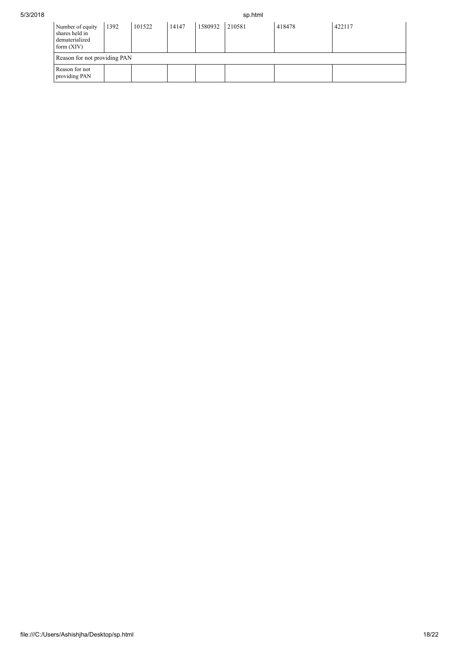| 5/3/2018 |                                                                      |      | sp.html |       |         |        |        |        |
|----------|----------------------------------------------------------------------|------|---------|-------|---------|--------|--------|--------|
|          | Number of equity<br>shares held in<br>dematerialized<br>form $(XIV)$ | 1392 | 101522  | 14147 | 1580932 | 210581 | 418478 | 422117 |
|          | Reason for not providing PAN                                         |      |         |       |         |        |        |        |
|          | Reason for not<br>providing PAN                                      |      |         |       |         |        |        |        |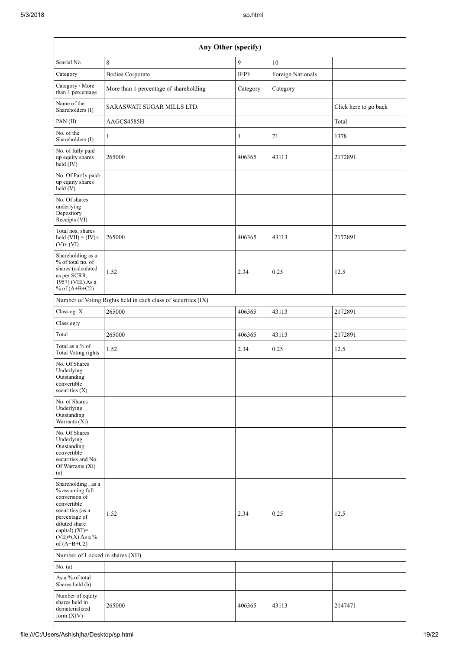| Any Other (specify)                                                                                                                                                                  |                                                               |              |                   |                       |  |  |  |
|--------------------------------------------------------------------------------------------------------------------------------------------------------------------------------------|---------------------------------------------------------------|--------------|-------------------|-----------------------|--|--|--|
| Searial No.                                                                                                                                                                          | 8                                                             | 9            | 10                |                       |  |  |  |
| Category                                                                                                                                                                             | <b>Bodies Corporate</b>                                       | <b>IEPF</b>  | Foreign Nationals |                       |  |  |  |
| Category / More<br>than 1 percentage                                                                                                                                                 | More than 1 percentage of shareholding                        | Category     | Category          |                       |  |  |  |
| Name of the<br>Shareholders (I)                                                                                                                                                      | SARASWATI SUGAR MILLS LTD.                                    |              |                   | Click here to go back |  |  |  |
| PAN(II)                                                                                                                                                                              | AAGCS4585H                                                    |              |                   | Total                 |  |  |  |
| No. of the<br>Shareholders (I)                                                                                                                                                       | 1                                                             | $\mathbf{1}$ | 71                | 1378                  |  |  |  |
| No. of fully paid<br>up equity shares<br>held $(IV)$                                                                                                                                 | 265000                                                        | 406365       | 43113             | 2172891               |  |  |  |
| No. Of Partly paid-<br>up equity shares<br>held(V)                                                                                                                                   |                                                               |              |                   |                       |  |  |  |
| No. Of shares<br>underlying<br>Depository<br>Receipts (VI)                                                                                                                           |                                                               |              |                   |                       |  |  |  |
| Total nos. shares<br>held $(VII) = (IV) +$<br>$(V)+(VI)$                                                                                                                             | 265000                                                        | 406365       | 43113             | 2172891               |  |  |  |
| Shareholding as a<br>% of total no. of<br>shares (calculated<br>as per SCRR,<br>1957) (VIII) As a<br>% of $(A+B+C2)$                                                                 | 1.52                                                          | 2.34         | 0.25              | 12.5                  |  |  |  |
|                                                                                                                                                                                      | Number of Voting Rights held in each class of securities (IX) |              |                   |                       |  |  |  |
| Class eg: X                                                                                                                                                                          | 265000                                                        | 406365       | 43113             | 2172891               |  |  |  |
| Class eg:y                                                                                                                                                                           |                                                               |              |                   |                       |  |  |  |
| Total                                                                                                                                                                                | 265000                                                        | 406365       | 43113             | 2172891               |  |  |  |
| Total as a % of<br><b>Total Voting rights</b>                                                                                                                                        | 1.52                                                          | 2.34         | 0.25              | 12.5                  |  |  |  |
| No. Of Shares<br>Underlying<br>Outstanding<br>convertible<br>securities (X)                                                                                                          |                                                               |              |                   |                       |  |  |  |
| No. of Shares<br>Underlying<br>Outstanding<br>Warrants (Xi)                                                                                                                          |                                                               |              |                   |                       |  |  |  |
| No. Of Shares<br>Underlying<br>Outstanding<br>convertible<br>securities and No.<br>Of Warrants (Xi)<br>$\left( a\right)$                                                             |                                                               |              |                   |                       |  |  |  |
| Shareholding, as a<br>% assuming full<br>conversion of<br>convertible<br>securities (as a<br>percentage of<br>diluted share<br>capital) (XI)=<br>$(VII)+(X)$ As a %<br>of $(A+B+C2)$ | 1.52                                                          | 2.34         | 0.25              | 12.5                  |  |  |  |
| Number of Locked in shares (XII)                                                                                                                                                     |                                                               |              |                   |                       |  |  |  |
| No. (a)                                                                                                                                                                              |                                                               |              |                   |                       |  |  |  |
| As a % of total<br>Shares held (b)                                                                                                                                                   |                                                               |              |                   |                       |  |  |  |
| Number of equity<br>shares held in<br>dematerialized<br>form (XIV)                                                                                                                   | 265000                                                        | 406365       | 43113             | 2147471               |  |  |  |

 $\overline{\phantom{a}}$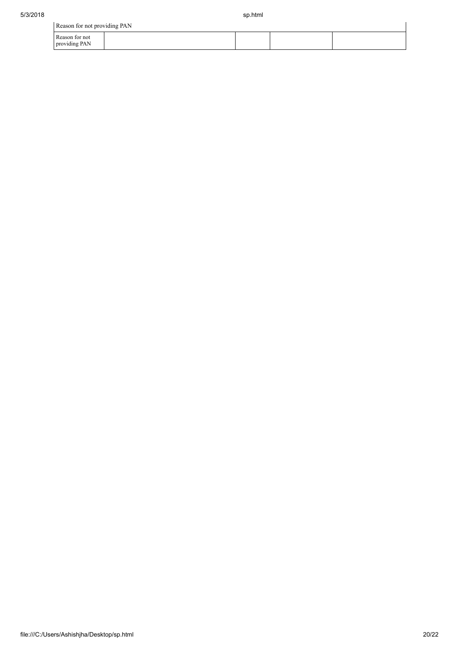| Reason for not providing PAN    |  |  |
|---------------------------------|--|--|
| Reason for not<br>providing PAN |  |  |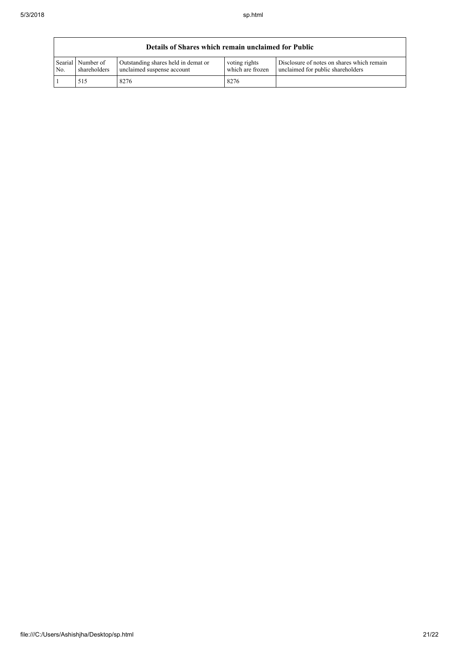|     | Details of Shares which remain unclaimed for Public |                                                                   |                                   |                                                                                 |  |  |  |  |
|-----|-----------------------------------------------------|-------------------------------------------------------------------|-----------------------------------|---------------------------------------------------------------------------------|--|--|--|--|
| No. | Searial Number of<br>shareholders                   | Outstanding shares held in demat or<br>unclaimed suspense account | voting rights<br>which are frozen | Disclosure of notes on shares which remain<br>unclaimed for public shareholders |  |  |  |  |
|     | 515                                                 | 8276                                                              | 8276                              |                                                                                 |  |  |  |  |

٦